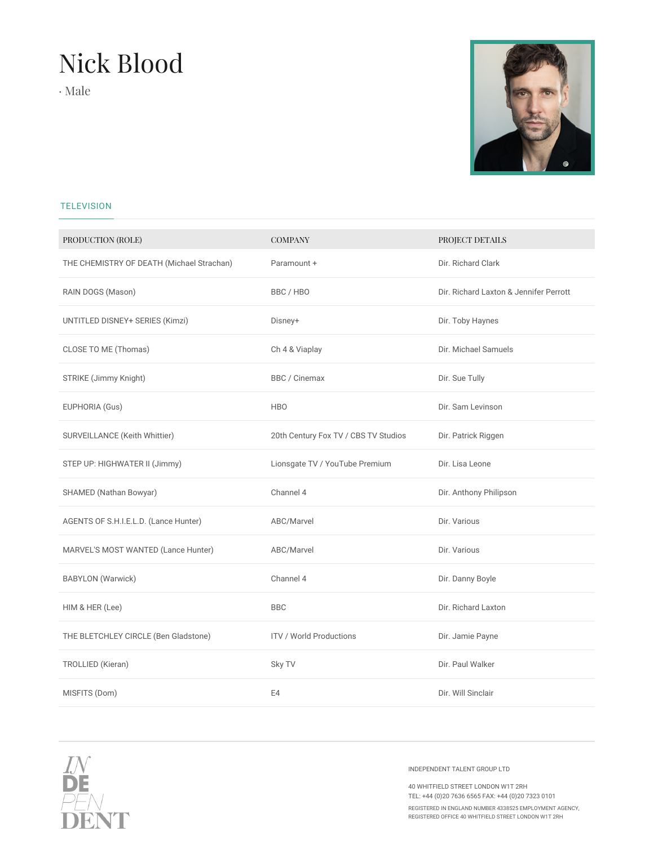## Nick Blood

· Male



## **TELEVISION**

| PRODUCTION (ROLE)                         | <b>COMPANY</b>                       | PROJECT DETAILS                        |  |
|-------------------------------------------|--------------------------------------|----------------------------------------|--|
| THE CHEMISTRY OF DEATH (Michael Strachan) | Paramount +                          | Dir. Richard Clark                     |  |
| RAIN DOGS (Mason)                         | BBC/HBO                              | Dir. Richard Laxton & Jennifer Perrott |  |
| UNTITLED DISNEY+ SERIES (Kimzi)           | Disney+                              | Dir. Toby Haynes                       |  |
| CLOSE TO ME (Thomas)                      | Ch 4 & Viaplay                       | Dir. Michael Samuels                   |  |
| STRIKE (Jimmy Knight)                     | BBC / Cinemax                        | Dir. Sue Tully                         |  |
| EUPHORIA (Gus)                            | <b>HBO</b>                           | Dir. Sam Levinson                      |  |
| SURVEILLANCE (Keith Whittier)             | 20th Century Fox TV / CBS TV Studios | Dir. Patrick Riggen                    |  |
| STEP UP: HIGHWATER II (Jimmy)             | Lionsgate TV / YouTube Premium       | Dir. Lisa Leone                        |  |
| SHAMED (Nathan Bowyar)                    | Channel 4                            | Dir. Anthony Philipson                 |  |
| AGENTS OF S.H.I.E.L.D. (Lance Hunter)     | ABC/Marvel                           | Dir. Various                           |  |
| MARVEL'S MOST WANTED (Lance Hunter)       | ABC/Marvel                           | Dir. Various                           |  |
| <b>BABYLON</b> (Warwick)                  | Channel 4                            | Dir. Danny Boyle                       |  |
| HIM & HER (Lee)                           | <b>BBC</b>                           | Dir. Richard Laxton                    |  |
| THE BLETCHLEY CIRCLE (Ben Gladstone)      | <b>ITV / World Productions</b>       | Dir. Jamie Payne                       |  |
| TROLLIED (Kieran)                         | Sky TV                               | Dir. Paul Walker                       |  |
| MISFITS (Dom)                             | E4                                   | Dir. Will Sinclair                     |  |



INDEPENDENT TALENT GROUP LTD

40 WHITFIELD STREET LONDON W1T 2RH TEL: +44 (0)20 7636 6565 FAX: +44 (0)20 7323 0101

REGISTERED IN ENGLAND NUMBER 4338525 EMPLOYMENT AGENCY, REGISTERED OFFICE 40 WHITFIELD STREET LONDON W1T 2RH